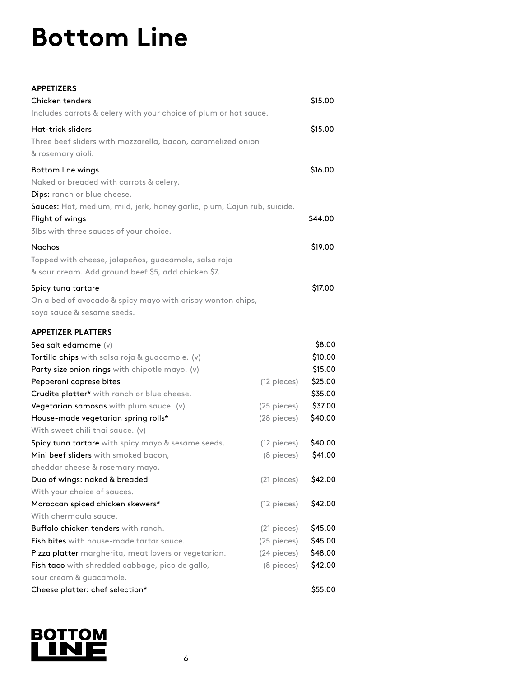## **Bottom Line**

## **APPETIZERS**

| Chicken tenders                                                          |               | \$15.00 |
|--------------------------------------------------------------------------|---------------|---------|
| Includes carrots & celery with your choice of plum or hot sauce.         |               |         |
| <b>Hat-trick sliders</b>                                                 |               | \$15.00 |
| Three beef sliders with mozzarella, bacon, caramelized onion             |               |         |
| & rosemary aioli.                                                        |               |         |
| Bottom line wings                                                        |               | \$16.00 |
| Naked or breaded with carrots & celery.                                  |               |         |
| Dips: ranch or blue cheese.                                              |               |         |
| Sauces: Hot, medium, mild, jerk, honey garlic, plum, Cajun rub, suicide. |               |         |
| Flight of wings                                                          |               |         |
| 3lbs with three sauces of your choice.                                   |               |         |
| <b>Nachos</b>                                                            |               | \$19.00 |
| Topped with cheese, jalapeños, guacamole, salsa roja                     |               |         |
| & sour cream. Add ground beef \$5, add chicken \$7.                      |               |         |
| Spicy tuna tartare                                                       |               | \$17.00 |
| On a bed of avocado & spicy mayo with crispy wonton chips,               |               |         |
| soya sauce & sesame seeds.                                               |               |         |
| <b>APPETIZER PLATTERS</b>                                                |               |         |
| Sea salt edamame $(v)$                                                   |               | \$8.00  |
| Tortilla chips with salsa roja & guacamole. (v)                          |               | \$10.00 |
| Party size onion rings with chipotle mayo. (v)                           |               | \$15.00 |
| Pepperoni caprese bites                                                  | (12 pieces)   | \$25.00 |
| Crudite platter* with ranch or blue cheese.                              |               | \$35.00 |
| Vegetarian samosas with plum sauce. (v)                                  | $(25$ pieces) | \$37.00 |
| House-made vegetarian spring rolls*                                      | (28 pieces)   | \$40.00 |
| With sweet chili thai sauce. (v)                                         |               |         |
| Spicy tuna tartare with spicy mayo & sesame seeds.                       | (12 pieces)   | \$40.00 |
| Mini beef sliders with smoked bacon,                                     | (8 pieces)    | \$41.00 |
| cheddar cheese & rosemary mayo.                                          |               |         |
| Duo of wings: naked & breaded                                            | (21 pieces)   | \$42.00 |
| With your choice of sauces.                                              |               |         |
| Moroccan spiced chicken skewers*                                         | (12 pieces)   | \$42.00 |
| With chermoula sauce.                                                    |               |         |
| Buffalo chicken tenders with ranch.                                      | (21 pieces)   | \$45.00 |
| <b>Fish bites</b> with house-made tartar sauce.                          | (25 pieces)   | \$45.00 |
| Pizza platter margherita, meat lovers or vegetarian.                     | (24 pieces)   | \$48.00 |
| Fish taco with shredded cabbage, pico de gallo,                          | (8 pieces)    | \$42.00 |
| sour cream & guacamole.                                                  |               |         |
| Cheese platter: chef selection*                                          |               | \$55.00 |